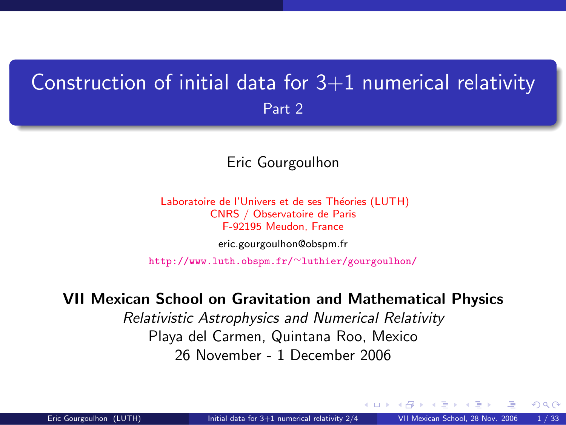## Construction of initial data for  $3+1$  numerical relativity Part 2

#### Eric Gourgoulhon

Laboratoire de l'Univers et de ses Théories (LUTH) CNRS / Observatoire de Paris F-92195 Meudon, France [eric.gourgoulhon@obspm.fr](mailto:eric.gourgoulhon@obspm.fr)

[http://www.luth.obspm.fr/](http://www.luth.obspm.fr/~luthier/gourgoulhon/)∼luthier/gourgoulhon/

#### VII Mexican School on Gravitation and Mathematical Physics

Relativistic Astrophysics and Numerical Relativity Playa del Carmen, Quintana Roo, Mexico 26 November - 1 December 2006

<span id="page-0-0"></span> $\Omega$ 

4 0 8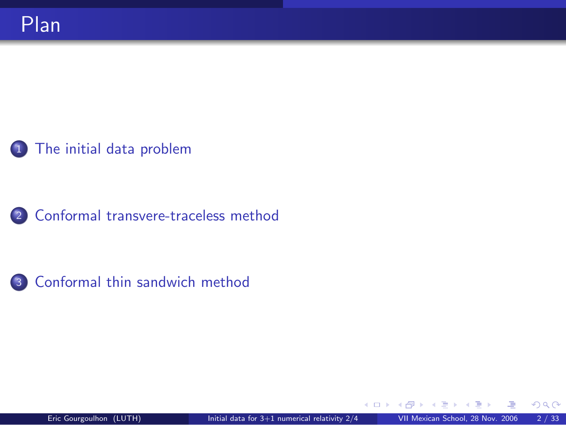#### 1 [The initial data problem](#page-2-0)

<sup>2</sup> [Conformal transvere-traceless method](#page-13-0)



**← ロ ▶ → イ 同**  $\sim$   $298$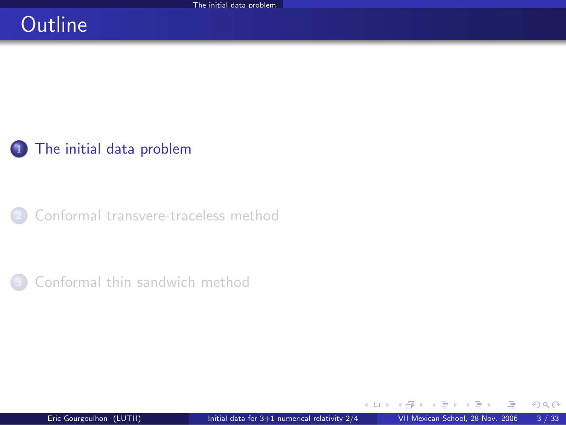## **Outline**

### 1 [The initial data problem](#page-2-0)

[Conformal transvere-traceless method](#page-13-0)

[Conformal thin sandwich method](#page-42-0)

**K ロ ト K 何 ト K 日** 

<span id="page-2-0"></span> $298$ 

 $\sim$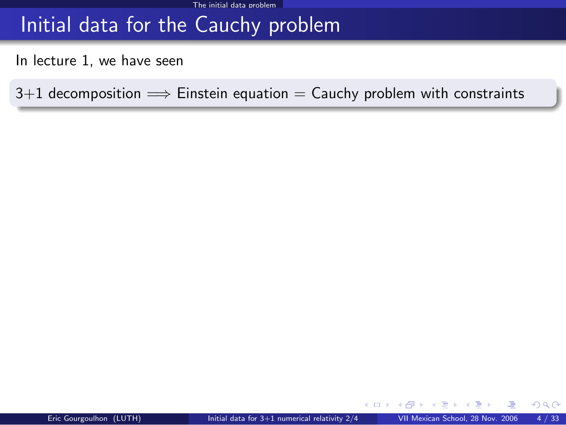## Initial data for the Cauchy problem

In lecture 1, we have seen

 $3+1$  decomposition  $\implies$  Einstein equation = Cauchy problem with constraints

4. 0. 3. 4.

 $299$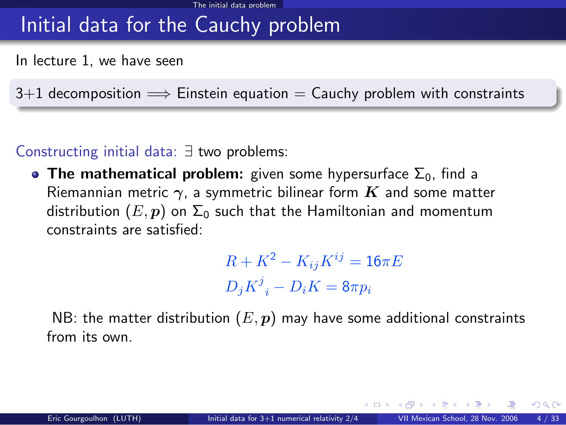## Initial data for the Cauchy problem

In lecture 1, we have seen

 $3+1$  decomposition  $\implies$  Einstein equation  $=$  Cauchy problem with constraints

#### Constructing initial data: ∃ two problems:

• The mathematical problem: given some hypersurface  $\Sigma_0$ , find a Riemannian metric  $\gamma$ , a symmetric bilinear form  $K$  and some matter distribution  $(E, p)$  on  $\Sigma_0$  such that the Hamiltonian and momentum constraints are satisfied:

> $R + K^2 - K_{ij}K^{ij} = 16\pi E$  $D_j K^j{}_i - D_i K = 8\pi p_i$

NB: the matter distribution  $(E, p)$  may have some additional constraints from its own.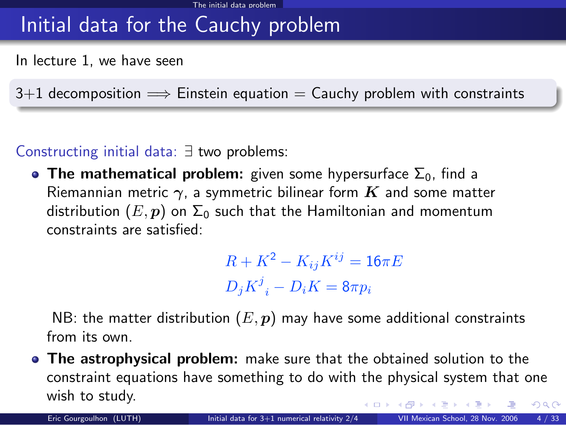## Initial data for the Cauchy problem

In lecture 1, we have seen

 $3+1$  decomposition  $\implies$  Einstein equation  $=$  Cauchy problem with constraints

Constructing initial data: ∃ two problems:

• The mathematical problem: given some hypersurface  $\Sigma_0$ , find a Riemannian metric  $\gamma$ , a symmetric bilinear form  $K$  and some matter distribution  $(E, p)$  on  $\Sigma_0$  such that the Hamiltonian and momentum constraints are satisfied:

> $R + K^2 - K_{ij}K^{ij} = 16\pi E$  $D_j K^j{}_i - D_i K = 8\pi p_i$

NB: the matter distribution  $(E, p)$  may have some additional constraints from its own.

**The astrophysical problem:** make sure that the obtained solution to the constraint equations have something to do with the physical system that one wish to study.  $299$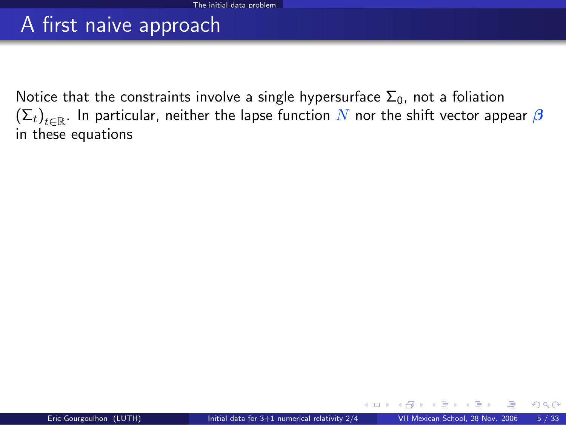## A first naive approach

Notice that the constraints involve a single hypersurface  $\Sigma_0$ , not a foliation  $\left(\Sigma_t\right)_{t\in\mathbb{R}}.$  In particular, neither the lapse function  $N$  nor the shift vector appear  $\boldsymbol{\beta}$ in these equations

**← ロ ▶ → イ 同**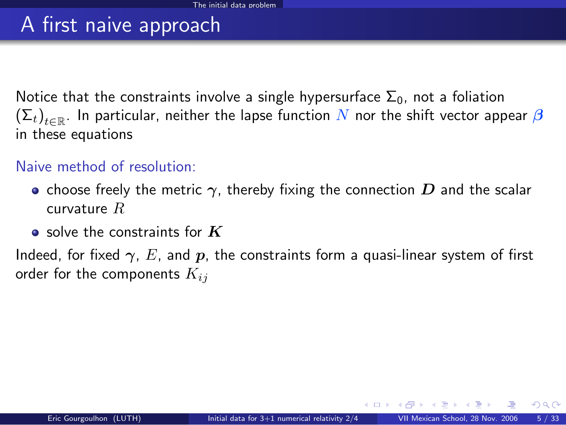## A first naive approach

Notice that the constraints involve a single hypersurface  $\Sigma_0$ , not a foliation  $\left(\Sigma_t\right)_{t\in\mathbb{R}}.$  In particular, neither the lapse function  $N$  nor the shift vector appear  $\boldsymbol{\beta}$ in these equations

#### Naive method of resolution:

- choose freely the metric  $\gamma$ , thereby fixing the connection  $D$  and the scalar curvature R
- $\bullet$  solve the constraints for  $K$

Indeed, for fixed  $\gamma$ , E, and p, the constraints form a quasi-linear system of first order for the components  $K_{ij}$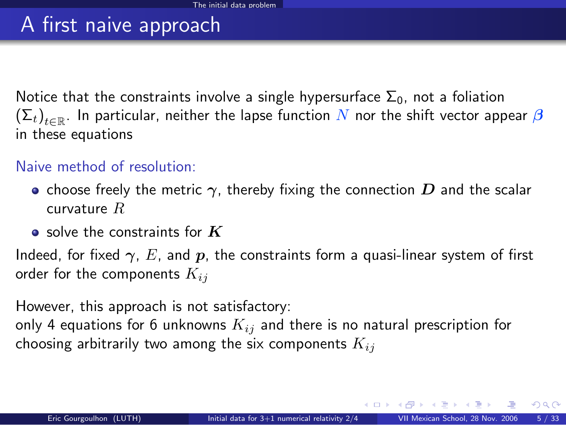## A first naive approach

Notice that the constraints involve a single hypersurface  $\Sigma_0$ , not a foliation  $\left(\Sigma_t\right)_{t\in\mathbb{R}}.$  In particular, neither the lapse function  $N$  nor the shift vector appear  $\boldsymbol{\beta}$ in these equations

#### Naive method of resolution:

- choose freely the metric  $\gamma$ , thereby fixing the connection  $D$  and the scalar curvature R
- $\bullet$  solve the constraints for  $K$

Indeed, for fixed  $\gamma$ , E, and p, the constraints form a quasi-linear system of first order for the components  $K_{ij}$ 

However, this approach is not satisfactory:

only 4 equations for 6 unknowns  $K_{ij}$  and there is no natural prescription for choosing arbitrarily two among the six components  $K_{ij}$ 

 $\Omega$ 

メロト メ何ト メミト メミト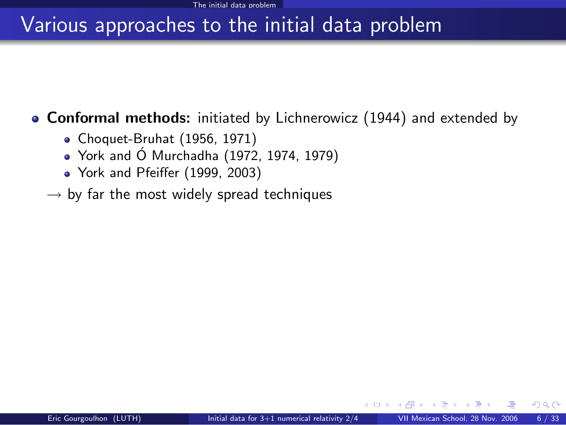#### **Conformal methods:** initiated by Lichnerowicz (1944) and extended by

- Choquet-Bruhat (1956, 1971)
- $\bullet$  York and Ó Murchadha (1972, 1974, 1979)
- York and Pfeiffer (1999, 2003)
- $\rightarrow$  by far the most widely spread techniques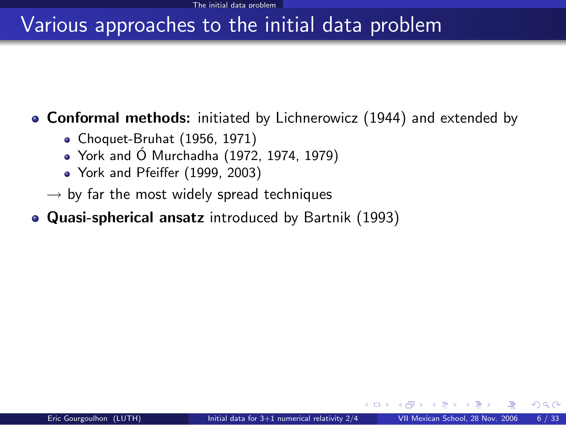**Conformal methods:** initiated by Lichnerowicz (1944) and extended by

- Choquet-Bruhat (1956, 1971)
- $\bullet$  York and Ó Murchadha (1972, 1974, 1979)
- York and Pfeiffer (1999, 2003)
- $\rightarrow$  by far the most widely spread techniques
- Quasi-spherical ansatz introduced by Bartnik (1993)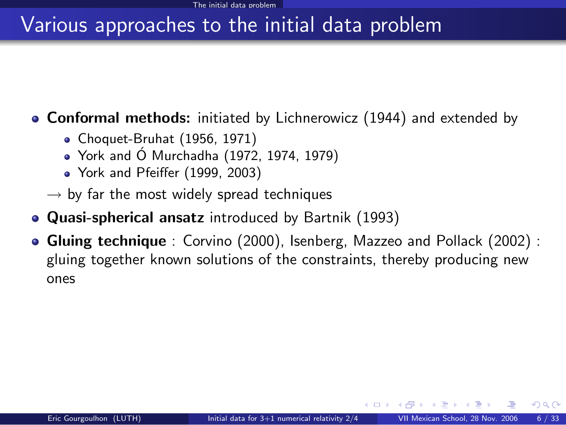**Conformal methods:** initiated by Lichnerowicz (1944) and extended by

- Choquet-Bruhat (1956, 1971)
- $\bullet$  York and Ó Murchadha (1972, 1974, 1979)
- York and Pfeiffer (1999, 2003)
- $\rightarrow$  by far the most widely spread techniques
- Quasi-spherical ansatz introduced by Bartnik (1993)
- **Gluing technique** : Corvino (2000), Isenberg, Mazzeo and Pollack (2002) : gluing together known solutions of the constraints, thereby producing new ones

**K ロ ト イ ト**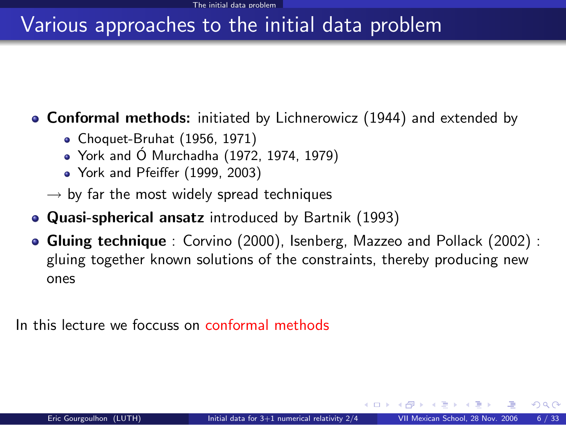**Conformal methods:** initiated by Lichnerowicz (1944) and extended by

- Choquet-Bruhat (1956, 1971)
- $\bullet$  York and Ó Murchadha (1972, 1974, 1979)
- York and Pfeiffer (1999, 2003)
- $\rightarrow$  by far the most widely spread techniques
- Quasi-spherical ansatz introduced by Bartnik (1993)
- **Gluing technique** : Corvino (2000), Isenberg, Mazzeo and Pollack (2002) : gluing together known solutions of the constraints, thereby producing new ones

In this lecture we foccuss on conformal methods

**←ロ ▶ ← イ 同 →** 

 $\cap$   $\cap$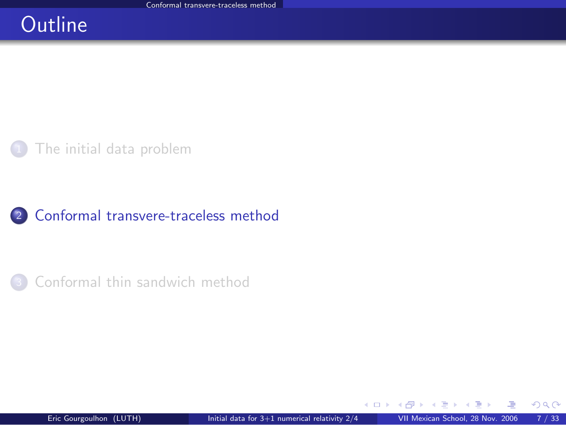## **Outline**

[The initial data problem](#page-2-0)

#### <sup>2</sup> [Conformal transvere-traceless method](#page-13-0)

[Conformal thin sandwich method](#page-42-0)

 $\left\{ \begin{array}{ccc} \square & \rightarrow & \left\{ \bigcap \mathbb{P} \right\} & \left\{ \begin{array}{ccc} \square & \rightarrow & \left\{ \end{array} \right\} \end{array} \right.$ 

<span id="page-13-0"></span> $298$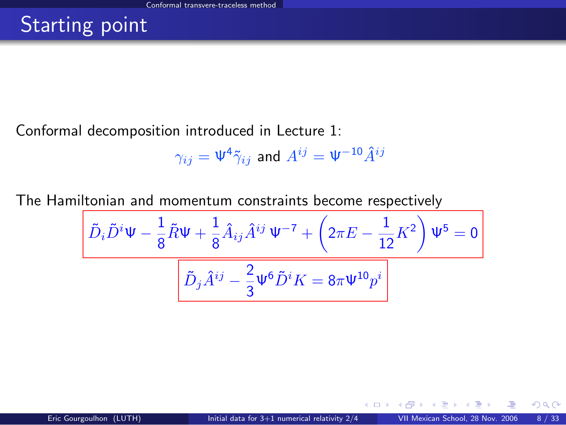## Starting point

Conformal decomposition introduced in Lecture 1:

$$
\gamma_{ij}=\Psi^4\tilde\gamma_{ij}\,\text{ and }\,A^{ij}=\Psi^{-10}\hat A^{ij}
$$

The Hamiltonian and momentum constraints become respectively

$$
\frac{\left[\tilde{D}_{i}\tilde{D}^{i}\Psi - \frac{1}{8}\tilde{R}\Psi + \frac{1}{8}\hat{A}_{ij}\hat{A}^{ij}\Psi^{-7} + \left(2\pi E - \frac{1}{12}K^{2}\right)\Psi^{5} = 0\right]}{\left[\tilde{D}_{j}\tilde{A}^{ij} - \frac{2}{3}\Psi^{6}\tilde{D}^{i}K = 8\pi\Psi^{10}p^{i}\right]}
$$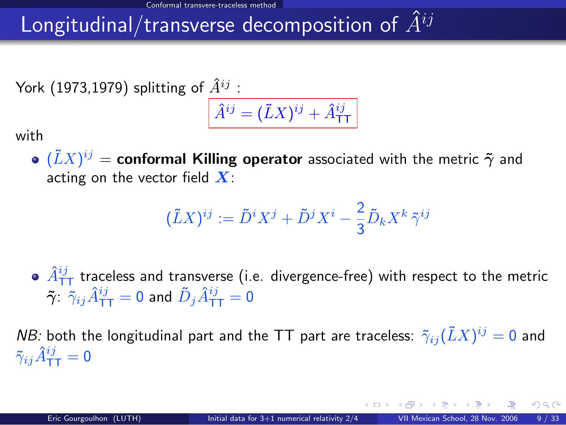## Longitudinal/transverse decomposition of  $\hat{A}^{ij}$

York (1973,1979) splitting of  $\hat{A}^{ij}$ :

$$
\hat{A}^{ij} = (\tilde{L}X)^{ij} + \hat{A}^{ij}_{\text{TT}}
$$

with

 $(\tilde{L}X)^{ij} =$  conformal Killing operator associated with the metric  $\tilde{\boldsymbol{\gamma}}$  and acting on the vector field  $X$ :

$$
(\tilde{L}X)^{ij} := \tilde{D}^i X^j + \tilde{D}^j X^i - \frac{2}{3} \tilde{D}_k X^k \tilde{\gamma}^{ij}
$$

 $\hat{A}^{ij}_{\text{\texttt{TT}}}$  traceless and transverse (i.e. divergence-free) with respect to the metric  $\tilde{\bm{\gamma}}$ :  $\tilde{\gamma}_{ij}\hat{A}^{ij}_{\mathsf{T}\mathsf{T}} = 0$  and  $\tilde{D}_j\hat{A}^{ij}_{\mathsf{T}\mathsf{T}} = 0$ 

*NB:* both the longitudinal part and the TT part are traceless:  $\tilde{\gamma}_{ij}(\tilde{L}X)^{ij}=0$  and  $\tilde{\gamma}_{ij}\hat{A}^{ij}_{\mathsf{TT}} = \mathsf{0}$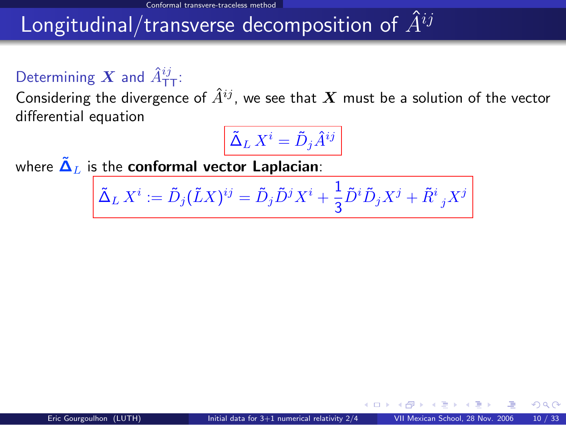## Longitudinal/transverse decomposition of  $\hat{A}^{ij}$

## Determining  $\boldsymbol{X}$  and  $\hat{A}^{ij}_{\mathsf{T}\mathsf{T}}$ :

Considering the divergence of  $\hat{A}^{ij}$ , we see that X must be a solution of the vector differential equation

$$
\tilde{\Delta}_L X^i = \tilde{D}_j \hat{A}^{ij}
$$

where  $\tilde{\Delta}_L$  is the conformal vector Laplacian:

$$
\tilde{\Delta}_L X^i := \tilde{D}_j (\tilde{L} X)^{ij} = \tilde{D}_j \tilde{D}^j X^i + \frac{1}{3} \tilde{D}^i \tilde{D}_j X^j + \tilde{R}^i_{\ j} X^j
$$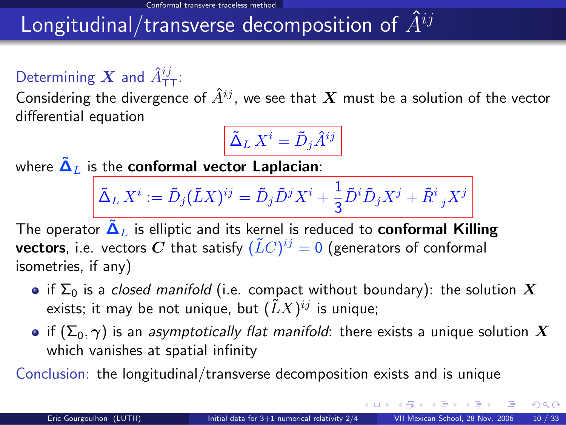## Longitudinal/transverse decomposition of  $\hat{A}^{ij}$

## Determining  $\boldsymbol{X}$  and  $\hat{A}^{ij}_{\mathsf{T}\mathsf{T}}$ :

Considering the divergence of  $\hat{A}^{ij}$ , we see that  $\bm{X}$  must be a solution of the vector differential equation

$$
\tilde{\Delta}_L\,X^i=\tilde{D}_j\hat{A}^{ij}
$$

where  $\tilde{\Delta}_L$  is the conformal vector Laplacian:

$$
\tilde{\Delta}_L X^i := \tilde{D}_j (\tilde{L} X)^{ij} = \tilde{D}_j \tilde{D}^j X^i + \frac{1}{3} \tilde{D}^i \tilde{D}_j X^j + \tilde{R}^i {}_j X^j
$$

The operator  $\tilde{\Delta}_L$  is elliptic and its kernel is reduced to **conformal Killing vectors**, i.e. vectors  $\boldsymbol{C}$  that satisfy  $(\tilde{L}C)^{ij}=0$  (generators of conformal isometries, if any)

- if  $\Sigma_0$  is a closed manifold (i.e. compact without boundary): the solution X exists; it may be not unique, but  $(\tilde{L}X)^{ij}$  is unique;
- if  $(\Sigma_0, \gamma)$  is an asymptotically flat manifold: there exists a unique solution  $X$ which vanishes at spatial infinity

Conclusion: the longitudinal/transverse decomposition exists and is unique

 $299$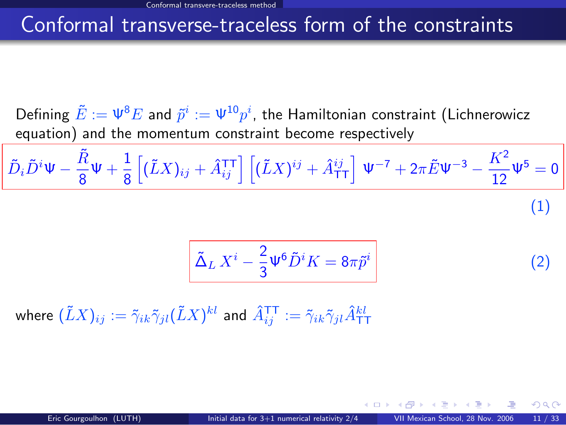### Conformal transverse-traceless form of the constraints

Defining  $\tilde{E}:=\Psi^8 E$  and  $\tilde{p}^i:=\Psi^{10} p^i,$  the Hamiltonian constraint (Lichnerowicz equation) and the momentum constraint become respectively

$$
\tilde{D}_i \tilde{D}^i \Psi - \frac{\tilde{R}}{8} \Psi + \frac{1}{8} \left[ (\tilde{L}X)_{ij} + \hat{A}_{ij}^{\text{TT}} \right] \left[ (\tilde{L}X)^{ij} + \hat{A}_{\text{TT}}^{ij} \right] \Psi^{-7} + 2\pi \tilde{E} \Psi^{-3} - \frac{K^2}{12} \Psi^5 = 0
$$
\n(1)

<span id="page-18-1"></span><span id="page-18-0"></span>
$$
\tilde{\Delta}_L X^i - \frac{2}{3} \Psi^6 \tilde{D}^i K = 8\pi \tilde{p}^i \tag{2}
$$

where  $(\tilde{L}X)_{ij}:=\tilde{\gamma}_{ik}\tilde{\gamma}_{jl}(\tilde{L}X)^{kl}$  and  $\hat{A}^{\texttt{TT}}_{ij}:=\tilde{\gamma}_{ik}\tilde{\gamma}_{jl}\hat{A}^{kl}_{\texttt{TT}}$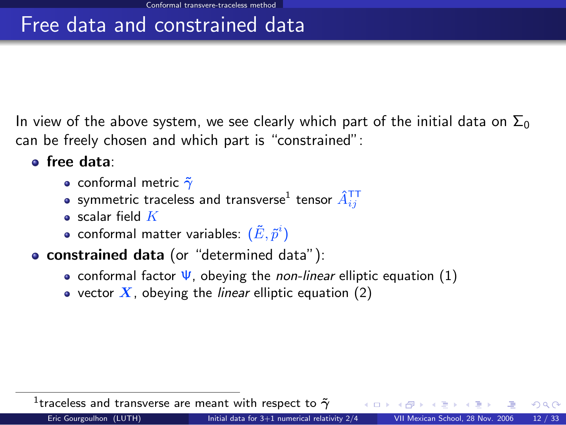## Free data and constrained data

In view of the above system, we see clearly which part of the initial data on  $\Sigma_0$ can be freely chosen and which part is "constrained":

- o free data:
	- conformal metric  $\tilde{\gamma}$
	- symmetric traceless and transverse $^1$  tensor  $\hat A_{ij}^{\intercal\intercal}$
	- $\bullet$  scalar field  $K$
	- conformal matter variables:  $(\tilde{E}, \tilde{p}^i)$
- **constrained data** (or "determined data"):
	- conformal factor  $\Psi$ , obeying the *non-linear* elliptic equation [\(1\)](#page-18-0)
	- vector  $X$ , obeying the *linear* elliptic equation [\(2\)](#page-18-1)

 $^1$ traceless and transverse are meant with respect to  $\tilde{\gamma}$ 

 $\Omega$ 

4 0 8 4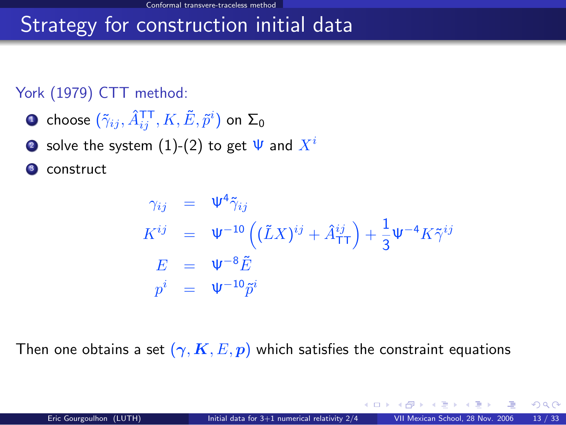## Strategy for construction initial data

#### York (1979) CTT method:

- $\bullet$  choose  $(\tilde{\gamma}_{ij},\hat{A}^{\texttt{TT}}_{ij},K,\tilde{E},\tilde{p}^{i})$  on  $\Sigma_{0}$
- solve the system [\(1\)](#page-18-0)-[\(2\)](#page-18-1) to get  $\Psi$  and  $X^i$

construct

$$
\gamma_{ij} = \Psi^4 \tilde{\gamma}_{ij}
$$
\n
$$
K^{ij} = \Psi^{-10} \left( (\tilde{L}X)^{ij} + \hat{A}^{ij}_{TT} \right) + \frac{1}{3} \Psi^{-4} K \tilde{\gamma}^{ij}
$$
\n
$$
E = \Psi^{-8} \tilde{E}
$$
\n
$$
p^i = \Psi^{-10} \tilde{p}^i
$$

Then one obtains a set  $(\gamma, K, E, p)$  which satisfies the constraint equations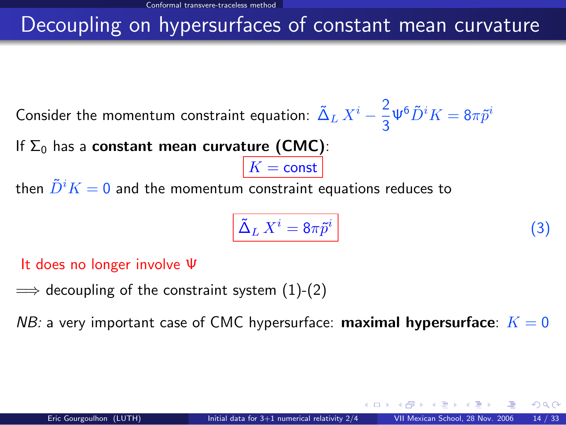## Decoupling on hypersurfaces of constant mean curvature

Consider the momentum constraint equation:  $\tilde{\Delta}_L X^i - \frac{2}{3}$  $\frac{2}{3}\Psi^6 \tilde{D}^i K = 8\pi \tilde{p}^i$ 

If  $\Sigma_0$  has a constant mean curvature (CMC):

then  $\tilde{D}^i K = 0$  and the momentum constraint equations reduces to

<span id="page-21-0"></span>
$$
\tilde{\Delta}_L X^i = 8\pi \tilde{p}^i \tag{3}
$$

It does no longer involve Ψ

 $\implies$  decoupling of the constraint system [\(1\)](#page-18-0)-[\(2\)](#page-18-1)

NB: a very important case of CMC hypersurface: **maximal hypersurface**:  $K = 0$ 

 $K = \text{const}$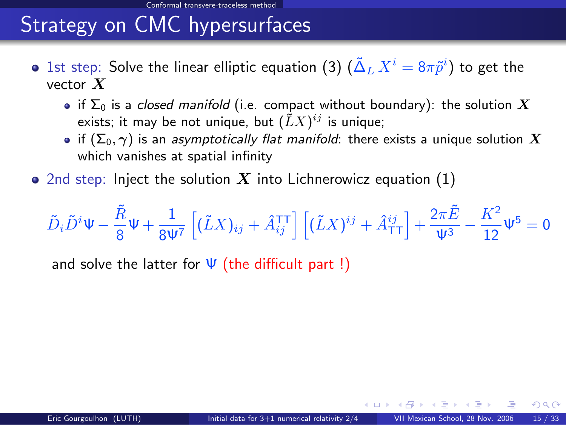# Strategy on CMC hypersurfaces

- 1st step: Solve the linear elliptic equation [\(3\)](#page-21-0)  $(\tilde{\Delta}_L \, X^i = 8 \pi \tilde{p}^i)$  to get the vector  $X$ 
	- if  $\Sigma_0$  is a closed manifold (i.e. compact without boundary): the solution X exists; it may be not unique, but  $(\tilde{L}X)^{ij}$  is unique;
	- if  $(\Sigma_0, \gamma)$  is an asymptotically flat manifold: there exists a unique solution X which vanishes at spatial infinity
- 2nd step: Inject the solution X into Lichnerowicz equation  $(1)$

$$
\tilde{D}_i \tilde{D}^i \Psi - \frac{\tilde{R}}{8} \Psi + \frac{1}{8 \Psi^7} \left[ (\tilde{L} X)_{ij} + \hat{A}_{ij}^{\text{TT}} \right] \left[ (\tilde{L} X)^{ij} + \hat{A}_{\text{TT}}^{ij} \right] + \frac{2 \pi \tilde{E}}{\Psi^3} - \frac{K^2}{12} \Psi^5 = 0
$$

<span id="page-22-0"></span>and solve the latter for  $\Psi$  (the difficult part !)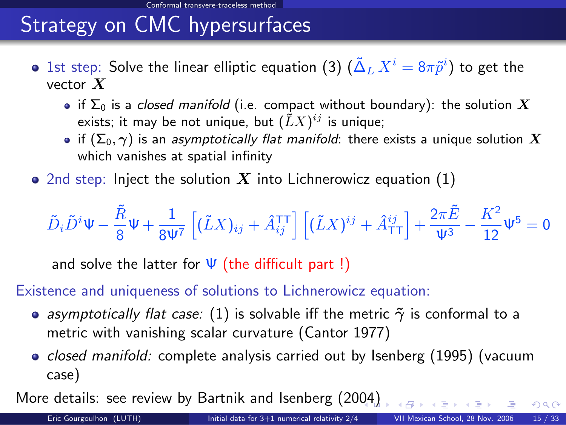# Strategy on CMC hypersurfaces

- 1st step: Solve the linear elliptic equation [\(3\)](#page-21-0)  $(\tilde{\Delta}_L \, X^i = 8 \pi \tilde{p}^i)$  to get the vector  $X$ 
	- if  $\Sigma_0$  is a closed manifold (i.e. compact without boundary): the solution X exists; it may be not unique, but  $(\tilde{L}X)^{ij}$  is unique;
	- if  $(\Sigma_0, \gamma)$  is an asymptotically flat manifold: there exists a unique solution X which vanishes at spatial infinity
- 2nd step: Inject the solution X into Lichnerowicz equation  $(1)$

$$
\tilde{D}_i \tilde{D}^i \Psi - \frac{\tilde{R}}{8} \Psi + \frac{1}{8 \Psi^7} \left[ (\tilde{L} X)_{ij} + \hat{A}_{ij}^{\text{TT}} \right] \left[ (\tilde{L} X)^{ij} + \hat{A}_{\text{TT}}^{ij} \right] + \frac{2 \pi \tilde{E}}{\Psi^3} - \frac{K^2}{12} \Psi^5 = 0
$$

and solve the latter for  $\Psi$  (the difficult part !)

#### Existence and uniqueness of solutions to Lichnerowicz equation:

- asymptotically flat case: [\(1\)](#page-18-0) is solvable iff the metric  $\tilde{\gamma}$  is conformal to a metric with vanishing scalar curvature (Cantor 1977)
- <span id="page-23-0"></span>• *closed manifold:* complete analysis carried out by Isenberg  $(1995)$  (vacuum case)

More details: see review by Bartnik and Isenberg (20[04](#page-22-0))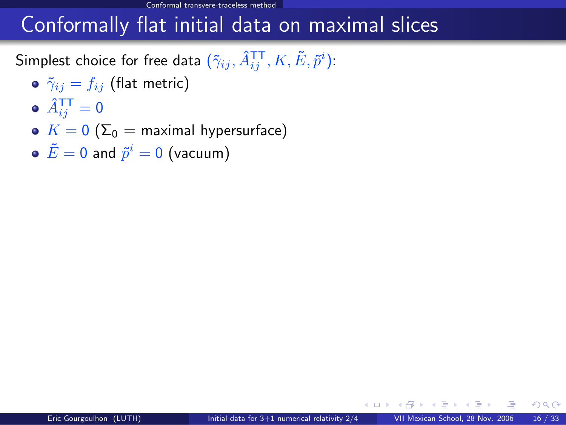## Conformally flat initial data on maximal slices

Simplest choice for free data  $(\tilde{\gamma}_{ij},\hat{A}^{\texttt{TT}}_{ij},K,\tilde{E},\tilde{p}^{i})$ :

- $\delta$   $\tilde{\gamma}_{ij} = f_{ij}$  (flat metric)
- $\hat{A}^{\mathsf{T}\mathsf{T}}_{ij} = \mathsf{0}$
- $K = 0$  ( $\Sigma_0$  = maximal hypersurface)
- <span id="page-24-2"></span><span id="page-24-1"></span><span id="page-24-0"></span> $\tilde{E}=0$  and  $\tilde{p}^i=0$  (vacuum)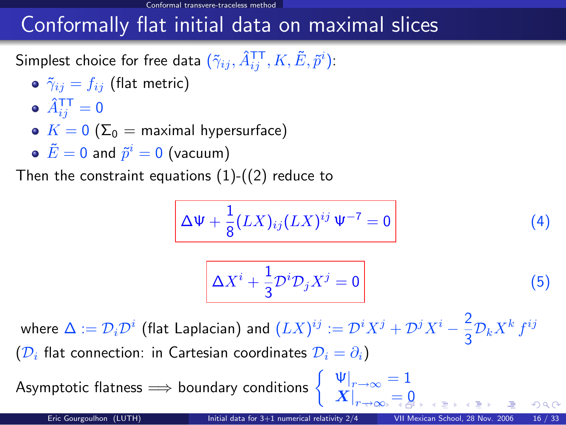## Conformally flat initial data on maximal slices

Simplest choice for free data  $(\tilde{\gamma}_{ij},\hat{A}^{\texttt{TT}}_{ij},K,\tilde{E},\tilde{p}^{i})$ :

- $\delta$   $\tilde{\gamma}_{ij} = f_{ij}$  (flat metric)
- $\hat{A}^{\mathsf{T}\mathsf{T}}_{ij} = \mathsf{0}$
- $K = 0$  ( $\Sigma_0$  = maximal hypersurface)
- $\tilde{E}=0$  and  $\tilde{p}^i=0$  (vacuum)

Then the constraint equations  $(1)-(2)$  $(1)-(2)$  $(1)-(2)$  reduce to

$$
\Delta \Psi + \frac{1}{8} (LX)_{ij} (LX)^{ij} \Psi^{-7} = 0 \qquad (4)
$$

$$
\Delta X^i + \frac{1}{3} \mathcal{D}^i \mathcal{D}_j X^j = 0 \tag{5}
$$

<span id="page-25-0"></span> $\left. X \right|_{r \to \infty} = 0$  $\left. X \right|_{r \to \infty} = 0$  $\left. X \right|_{r \to \infty} = 0$  $\left. X \right|_{r \to \infty} = 0$ 

where  $\Delta:=\mathcal{D}_i\mathcal{D}^i$  (flat Laplacian) and  $(LX)^{ij}:=\mathcal{D}^iX^j+\mathcal{D}^jX^i-\frac{2}{2}$  $rac{2}{3}\mathcal{D}_k X^k f^{ij}$  $(\mathcal{D}_i)$  flat connection: in Cartesian coordinates  $\mathcal{D}_i = \partial_i$ )

Asymptotic flatness  $\implies$  boundary conditions  $\begin{cases} \n\mathbf{\Psi}\big|_{r\to\infty} = 1, & \mathbf{\Psi}\big|_{r\to\infty} \n\end{cases}$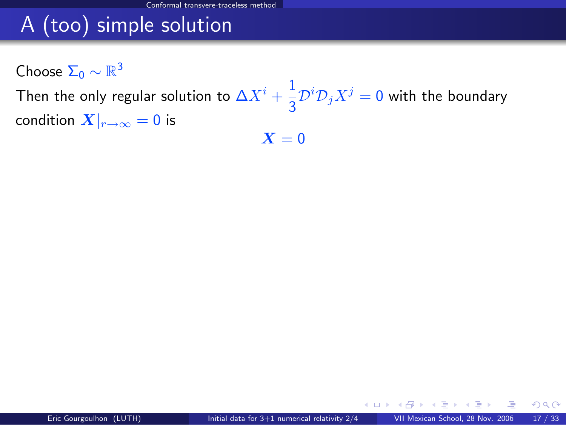# A (too) simple solution

Choose  $\Sigma_0 \sim \mathbb{R}^3$ 

Then the only regular solution to  $\Delta X^i+\frac{1}{2}$  $\frac{1}{3} \mathcal{D}^i \mathcal{D}_j X^j = 0$  with the boundary condition  $X|_{r\to\infty} = 0$  is  $X = 0$ 

<span id="page-26-0"></span>イロト イ押 トイヨ トイヨ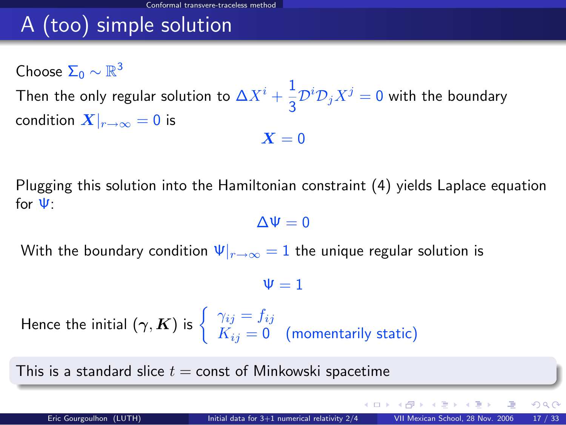# A (too) simple solution

Choose  $\Sigma_0 \sim \mathbb{R}^3$ Then the only regular solution to  $\Delta X^i+\frac{1}{2}$  $\frac{1}{3} \mathcal{D}^i \mathcal{D}_j X^j = 0$  with the boundary condition  $X|_{r\to\infty} = 0$  is  $X = 0$ 

Plugging this solution into the Hamiltonian constraint [\(4\)](#page-24-1) yields Laplace equation for Ψ:

 $\Delta\Psi=0$ 

With the boundary condition  $\Psi|_{r\to\infty} = 1$  the unique regular solution is

 $\Psi = 1$ 

Hence the initial  $(\boldsymbol{\gamma},\boldsymbol{K})$  is  $\left\{\begin{array}{c} \gamma_{ij}=f_{ij},\ \nu=0, \end{array}\right.$  $K_{ij} = \mathsf{0} \quad \text{(momentarily static)}$ 

This is a standard slice  $t =$  const of Minkowski spacetime

 $\Omega$ 

イロト イ押 トイヨ トイヨ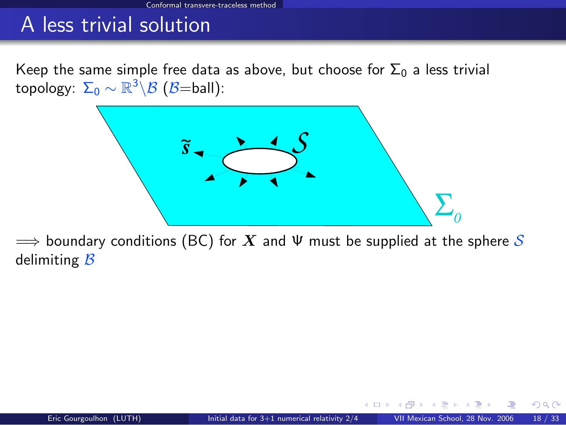Keep the same simple free data as above, but choose for  $\Sigma_0$  a less trivial topology:  $\Sigma_0 \sim \mathbb{R}^3 \backslash \mathcal{B}$   $(\mathcal{B}{=}\mathsf{ball})$ :



 $\implies$  boundary conditions (BC) for  $X$  and  $\Psi$  must be supplied at the sphere S delimiting  $B$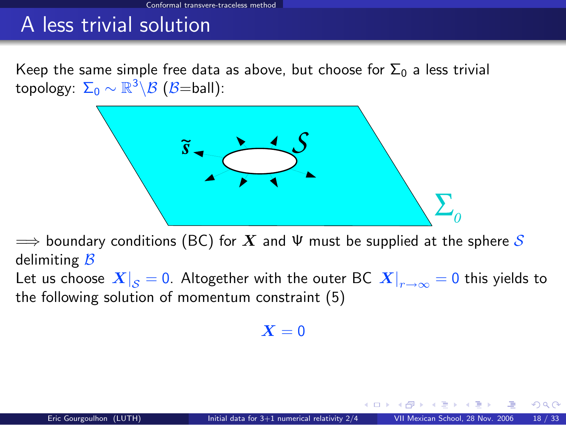Keep the same simple free data as above, but choose for  $\Sigma_0$  a less trivial topology:  $\Sigma_0 \sim \mathbb{R}^3 \backslash \mathcal{B}$   $(\mathcal{B}{=}\mathsf{ball})$ :



 $\implies$  boundary conditions (BC) for  $X$  and  $\Psi$  must be supplied at the sphere S delimiting  $B$ 

Let us choose  $\left. X\right| _{\cal S}=0.$  Altogether with the outer BC  $\left. X\right| _{r\rightarrow\infty}=0$  this yields to the following solution of momentum constraint [\(5\)](#page-24-2)

 $X = 0$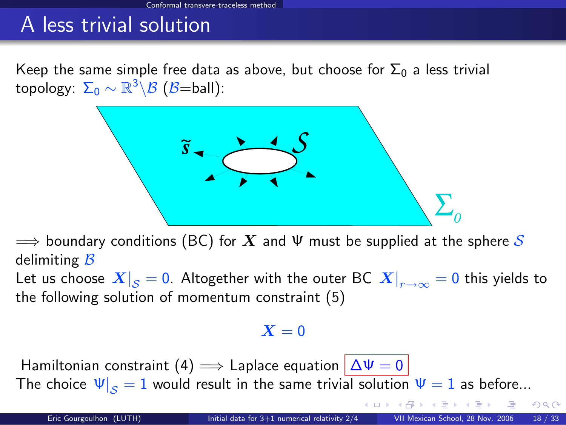Keep the same simple free data as above, but choose for  $\Sigma_0$  a less trivial topology:  $\Sigma_0 \sim \mathbb{R}^3 \backslash \mathcal{B}$   $(\mathcal{B}{=}\mathsf{ball})$ :



 $\implies$  boundary conditions (BC) for  $X$  and  $\Psi$  must be supplied at the sphere S delimiting  $B$ 

Let us choose  $\left. X\right| _{\cal S}=0.$  Altogether with the outer BC  $\left. X\right| _{r\rightarrow\infty}=0$  this yields to the following solution of momentum constraint [\(5\)](#page-24-2)

#### $X = 0$

Hamiltonian constraint [\(4\)](#page-24-1)  $\implies$  Laplace equation  $|\Delta\Psi=0|$ The choice  $\Psi|_{S} = 1$  would result in the same trivial solution  $\Psi = 1$  as before...

 $298$ 

**K ロ ト K 何 ト K ヨ ト K**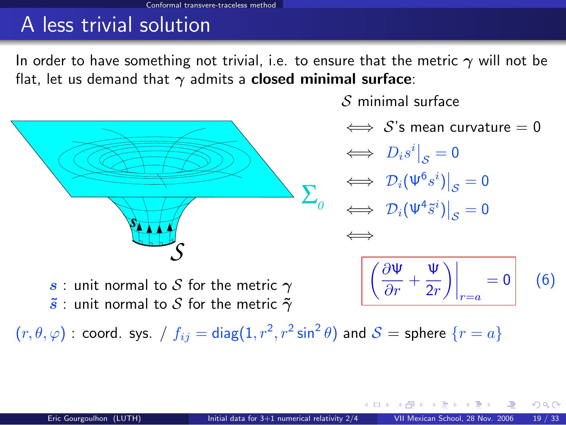In order to have something not trivial, i.e. to ensure that the metric  $\gamma$  will not be flat, let us demand that  $\gamma$  admits a **closed minimal surface**:



 $S$  minimal surface

 $\iff$  S's mean curvature = 0

 $\iff D_i s^i\big|_{\mathcal{S}}=0$  $\iff \left. \mathcal{D}_i(\Psi^6 s^i) \right|_{\mathcal{S}} = 0$  $\iff \left. \mathcal{D}_i(\Psi^4 \tilde{s}^i) \right|_{\mathcal{S}} = 0$ ⇐⇒

<span id="page-31-0"></span>
$$
\left[ \left( \frac{\partial \Psi}{\partial r} + \frac{\Psi}{2r} \right) \right]_{r=a} = 0 \qquad (6)
$$

s : unit normal to S for the metric  $\gamma$  $\tilde{s}$  : unit normal to S for the metric  $\tilde{\gamma}$ 

 $(r,\theta,\varphi)$  : coord. sys. /  $f_{ij}=\mathsf{diag}(1,r^2,r^2\sin^2\theta)$  and  $\mathcal{S}=\mathsf{sphere}\,\{r=a\}$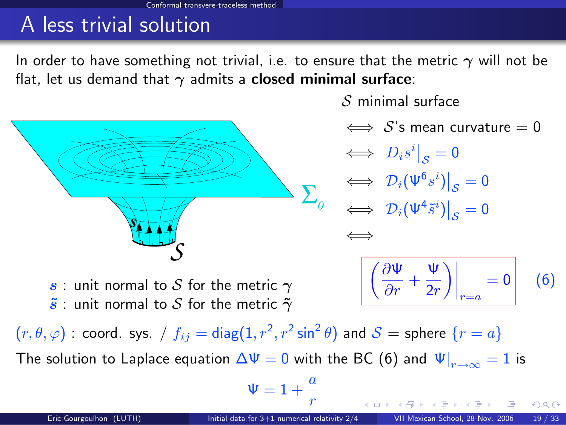In order to have something not trivial, i.e. to ensure that the metric  $\gamma$  will not be flat, let us demand that  $\gamma$  admits a **closed minimal surface**:



 $S$  minimal surface

 $\iff$  S's mean curvature = 0

 $\iff D_i s^i\big|_{\mathcal{S}}=0$  $\Leftrightarrow$   $\mathcal{D}_i(\Psi^6s^i)\big|_{\mathcal{S}}=0$  $\mathcal{S}_{\mathcal{S}}$  $\iff \left. \mathcal{D}_i(\Psi^4 \tilde{s}^i) \right|_{\mathcal{S}} = 0$ ⇐⇒

<span id="page-32-0"></span>
$$
\left| \left( \frac{\partial \Psi}{\partial r} + \frac{\Psi}{2r} \right) \right|_{r=a} = 0 \qquad (6)
$$

s : unit normal to S for the metric  $\gamma$  $\tilde{s}$  : unit normal to S for the metric  $\tilde{\gamma}$ 

 $(r,\theta,\varphi)$  : coord. sys. /  $f_{ij}=\mathsf{diag}(1,r^2,r^2\sin^2\theta)$  and  $\mathcal{S}=\mathsf{sphere}\,\{r=a\}$ The solution to Laplace equation  $\Delta \Psi=0$  with the BC [\(6\)](#page-31-0) and  $\left. \Psi\right|_{r\rightarrow\infty}=1$  is

$$
\Psi=1+\frac{a}{r}
$$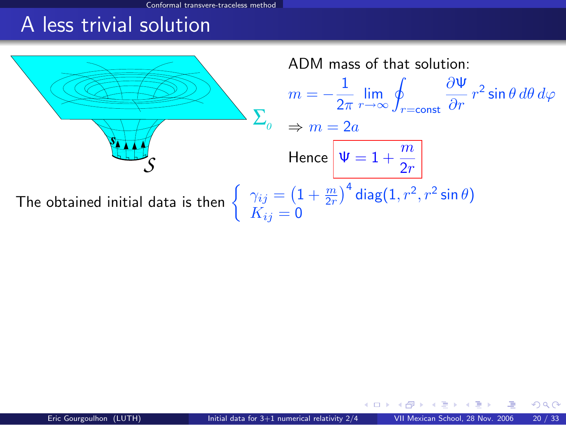<span id="page-33-0"></span>Conformal transvere-traceless meth

## A less trivial solution

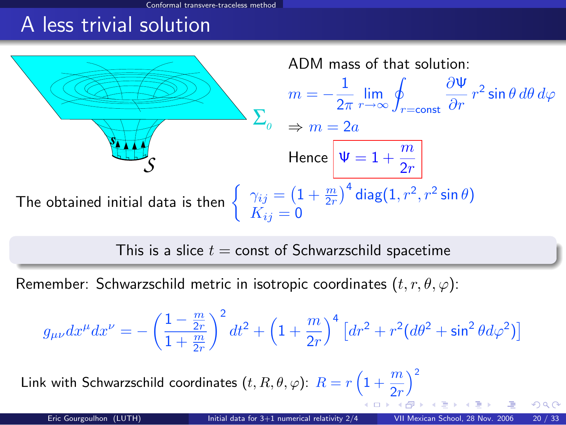al transvere-traceless meth

## A less trivial solution



<span id="page-34-0"></span>This is a slice  $t =$  const of Schwarzschild spacetime

Remember: Schwarzschild metric in isotropic coordinates  $(t, r, \theta, \varphi)$ :

$$
g_{\mu\nu}dx^{\mu}dx^{\nu} = -\left(\frac{1-\frac{m}{2r}}{1+\frac{m}{2r}}\right)^2 dt^2 + \left(1+\frac{m}{2r}\right)^4 \left[dr^2 + r^2(d\theta^2 + \sin^2\theta d\varphi^2)\right]
$$

Link with Schwa[r](#page-32-0)zschild coordinates  $(t,R,\theta,\varphi)$ :  $R=r\left(1+\frac{m}{2r}\right)$  $R=r\left(1+\frac{m}{2r}\right)$  $R=r\left(1+\frac{m}{2r}\right)$  $\chi^2$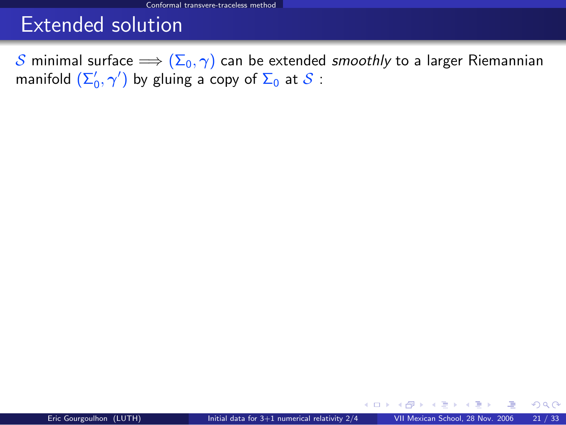### Extended solution

S minimal surface  $\Longrightarrow$   $(\Sigma_0, \gamma)$  can be extended smoothly to a larger Riemannian manifold  $(\Sigma_0',\gamma')$  by gluing a copy of  $\Sigma_0$  at  ${\mathcal{S}}$  :

<span id="page-35-0"></span>E K 4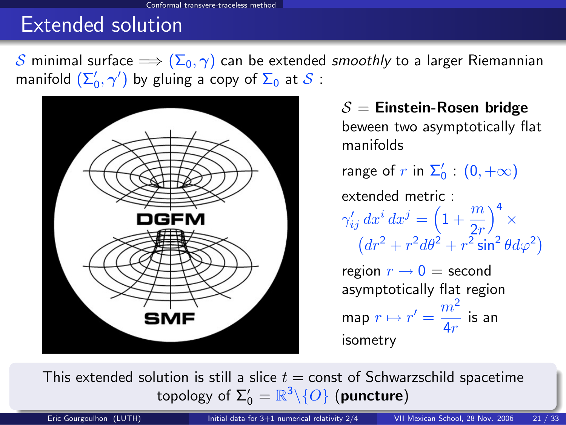### Extended solution

S minimal surface  $\implies$   $(\Sigma_0, \gamma)$  can be extended smoothly to a larger Riemannian manifold  $(\Sigma_0',\gamma')$  by gluing a copy of  $\Sigma_0$  at  ${\mathcal{S}}$  :



<span id="page-36-0"></span> $S =$  Einstein-Rosen bridge beween two asymptotically flat manifolds range of  $r$  in  $\Sigma_0'$  :  $(0, +\infty)$ extended metric :  $\gamma'_{ij} dx^i dx^j = \left(1 + \frac{m}{2r}\right)$  $\Big)^4$   $\times$  $(dr^2 + r^2 d\theta^2 + r^2 \sin^2 \theta d\varphi^2)$ region  $r \rightarrow 0 =$  second asymptotically flat region map  $r \mapsto r' = \frac{m^2}{4}$  $\frac{m}{4r}$  is an isometry

This extended solution is still a slice  $t =$  const of Schwarzschild spacetime topology of  $\Sigma_0' = \mathbb{R}^3 \backslash \{O\}$  (pu[nc](#page-35-0)t[ur](#page-37-0)[e](#page-34-0)[\)](#page-35-0)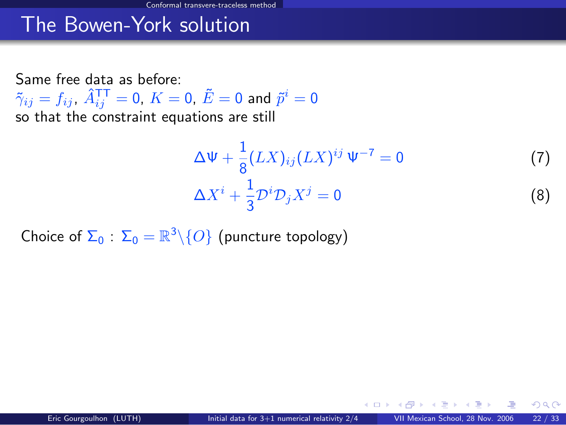Same free data as before:  $\tilde{\gamma}_{ij}=f_{ij}$ ,  $\hat{A}^{\mathsf{T}\mathsf{T}}_{ij}=0$ ,  $K=0$ ,  $\tilde{E}=0$  and  $\tilde{p}^i=0$ so that the constraint equations are still

<span id="page-37-2"></span><span id="page-37-1"></span><span id="page-37-0"></span>
$$
\Delta \Psi + \frac{1}{8} (LX)_{ij} (LX)^{ij} \Psi^{-7} = 0
$$
 (7)  

$$
\Delta X^{i} + \frac{1}{3} \mathcal{D}^{i} \mathcal{D}_{j} X^{j} = 0
$$
 (8)

Choice of  $\Sigma_0$  :  $\Sigma_0 = \mathbb{R}^3 \backslash \{O\}$  (puncture topology)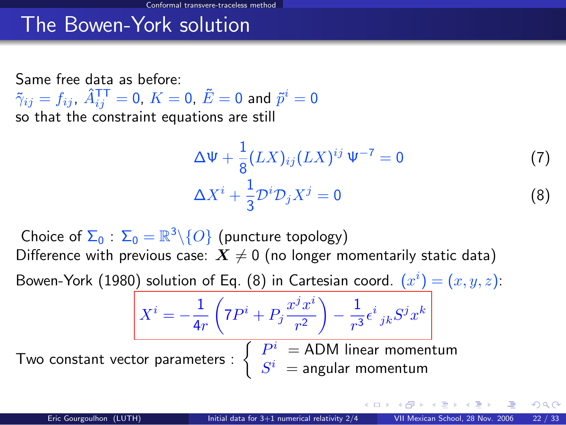Same free data as before:  $\tilde{\gamma}_{ij}=f_{ij}$ ,  $\hat{A}^{\mathsf{T}\mathsf{T}}_{ij}=0$ ,  $K=0$ ,  $\tilde{E}=0$  and  $\tilde{p}^i=0$ so that the constraint equations are still

 $X^i = -\frac{1}{4}$ 

4r

$$
\Delta \Psi + \frac{1}{8} (LX)_{ij} (LX)^{ij} \Psi^{-7} = 0
$$
 (7)  

$$
\Delta X^{i} + \frac{1}{3} \mathcal{D}^{i} \mathcal{D}_{j} X^{j} = 0
$$
 (8)

Choice of  $\Sigma_0$  :  $\Sigma_0 = \mathbb{R}^3 \backslash \{O\}$  (puncture topology) Difference with previous case:  $X \neq 0$  (no longer momentarily static data)

Bowen-York (1980) solution of Eq. [\(8\)](#page-37-1) in Cartesian coord.  $(x^{i}) = (x, y, z)$ :

Two constant vector parameters :

$$
\frac{\left(7P^i + P_j \frac{x^j x^i}{r^2}\right) - \frac{1}{r^3} \epsilon^i_{jk} S^j x^k}{\left| \begin{array}{l} P^i = \text{ADM linear momentum} \\ S^i = \text{angular momentum} \end{array} \right|}
$$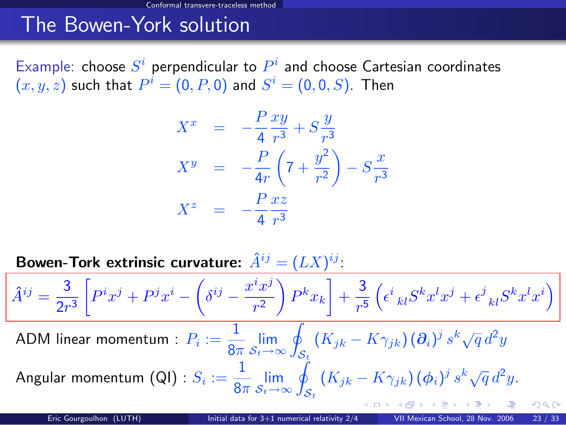Example: choose  $S^i$  perpendicular to  $P^i$  and choose Cartesian coordinates  $(x,y,z)$  such that  $P^i=(0,P,0)$  and  $S^i=(0,0,S).$  Then

$$
X^{x} = -\frac{P}{4} \frac{xy}{r^{3}} + S \frac{y}{r^{3}}
$$
  
\n
$$
X^{y} = -\frac{P}{4r} \left(7 + \frac{y^{2}}{r^{2}}\right) - S \frac{x}{r^{3}}
$$
  
\n
$$
X^{z} = -\frac{P}{4} \frac{xz}{r^{3}}
$$

Bowen-Tork extrinsic curvature:  $\hat{A}^{ij} = (LX)^{ij}$ :

$$
\hat{A}^{ij} = \frac{3}{2r^3} \left[ P^i x^j + P^j x^i - \left( \delta^{ij} - \frac{x^i x^j}{r^2} \right) P^k x_k \right] + \frac{3}{r^5} \left( \epsilon^i_{\ \ kl} S^k x^l x^j + \epsilon^j_{\ \ kl} S^k x^l x^i \right)
$$
  
ADM linear momentum :  $P_i := \frac{1}{8\pi} \lim_{S_i \to \infty} \oint_{S_i} \left( K_{jk} - K \gamma_{jk} \right) \left( \partial_i \right)^j s^k \sqrt{q} d^2 y$   
Angular momentum (QI) :  $S_i := \frac{1}{8\pi} \lim_{S_i \to \infty} \oint_{S_i} \left( K_{jk} - K \gamma_{jk} \right) \left( \phi_i \right)^j s^k \sqrt{q} d^2 y.$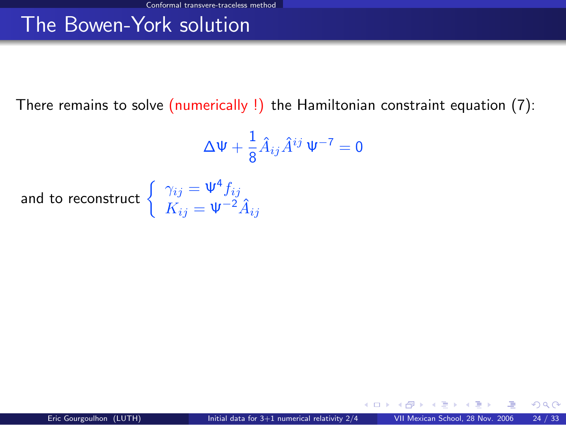There remains to solve (numerically !) the Hamiltonian constraint equation [\(7\)](#page-37-2):

$$
\Delta \Psi + \frac{1}{8} \hat{A}_{ij} \hat{A}^{ij} \Psi^{-7} = 0
$$

and to reconstruct  $\begin{cases} \gamma_{ij} = \Psi^4 f_{ij} \\ V_{ij} \end{cases}$  $K_{ij} = \Psi^{-2} \hat{A}_{ij}$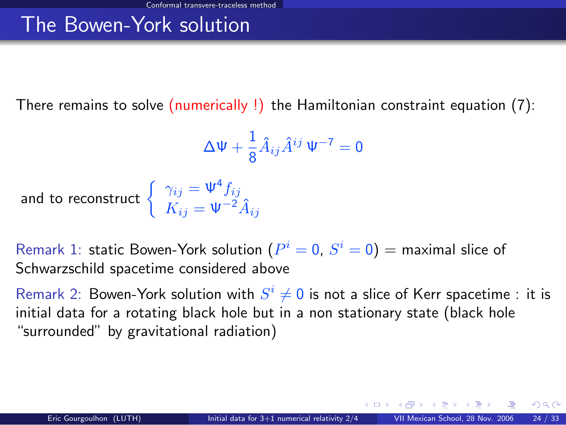There remains to solve (numerically !) the Hamiltonian constraint equation [\(7\)](#page-37-2):

<span id="page-41-0"></span>
$$
\Delta \Psi + \frac{1}{8} \hat{A}_{ij} \hat{A}^{ij} \Psi^{-7} = 0
$$

and to reconstruct  $\Big\{$ 

$$
\gamma_{ij} = \Psi^4 f_{ij}
$$
  

$$
K_{ij} = \Psi^{-2} \hat{A}_{ij}
$$

Remark 1: static Bowen-York solution  $(P^{i}=0,\,S^{i}=0)=$  maximal slice of Schwarzschild spacetime considered above

Remark 2: Bowen-York solution with  $S^i \neq 0$  is not a slice of Kerr spacetime : it is initial data for a rotating black hole but in a non stationary state (black hole "surrounded" by gravitational radiation)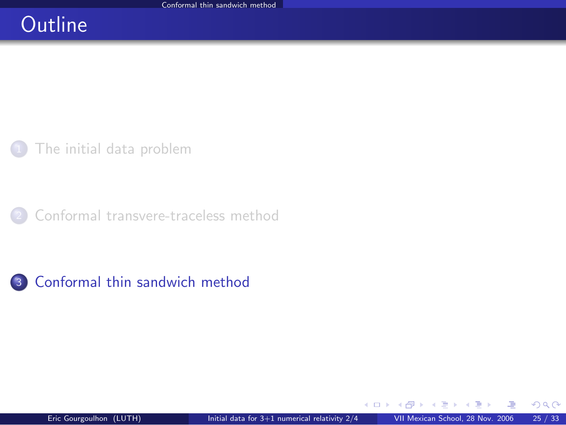## **Outline**

[The initial data problem](#page-2-0)

[Conformal transvere-traceless method](#page-13-0)



 $\left\{ \begin{array}{ccc} \square & \rightarrow & \left\{ \bigcap \mathbb{P} \right\} & \left\{ \begin{array}{ccc} \square & \rightarrow & \left\{ \end{array} \right\} \end{array} \right.$ 

<span id="page-42-0"></span> $298$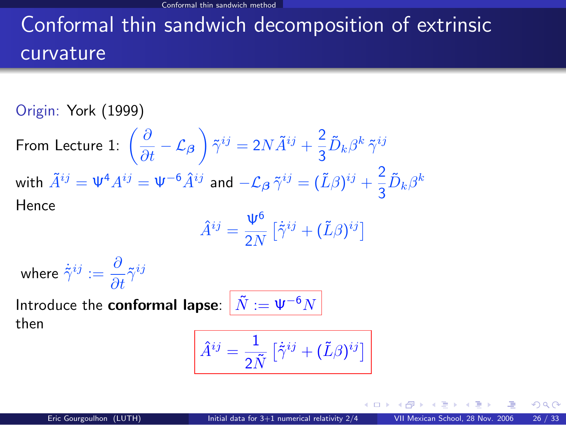# Conformal thin sandwich decomposition of extrinsic curvature

Origin: York (1999)

From Lecture 1:  $\left(\frac{\partial}{\partial t} - \mathcal{L}_{\boldsymbol{\beta}}\right) \tilde{\gamma}^{ij} = 2N \tilde{A}^{ij} + \frac{2}{3}$  $\frac{\epsilon}{3} \tilde{D}_k \beta^k \, \tilde{\gamma}^{ij}$ with  $\tilde{A}^{ij} = \Psi^4 A^{ij} = \Psi^{-6} \hat{A}^{ij}$  and  $-\mathcal{L}_{\beta} \tilde{\gamma}^{ij} = (\tilde{L}\beta)^{ij} + \frac{2}{3}$  $\frac{2}{3}\tilde{D}_k\beta^k$ Hence

$$
\hat{A}^{ij} = \frac{\Psi^6}{2N} \left[ \dot{\tilde{\gamma}}^{ij} + (\tilde{L}\beta)^{ij} \right]
$$

where  $\dot{\tilde{\gamma}}^{ij} := \frac{\partial}{\partial t} \tilde{\gamma}^{ij}$ 

Introduce the **conformal lapse**:  $\left|\tilde{N}\right|=\Psi^{-6}N$ then

$$
\hat{A}^{ij} = \frac{1}{2\tilde{N}} \left[ \dot{\tilde{\gamma}}^{ij} + (\tilde{L}\beta)^{ij} \right]
$$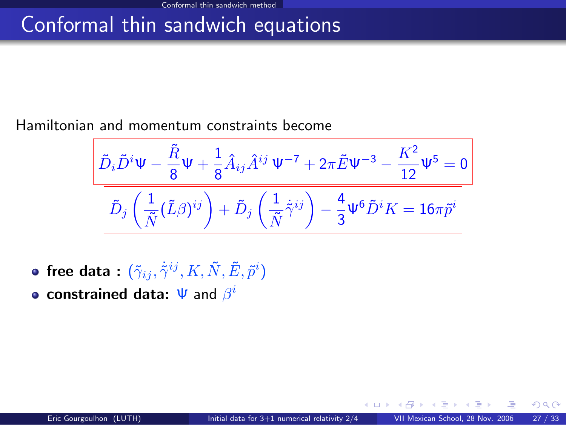## Conformal thin sandwich equations

#### Hamiltonian and momentum constraints become

$$
\frac{\tilde{D}_{i}\tilde{D}^{i}\Psi-\dfrac{\tilde{R}}{8}\Psi+\dfrac{1}{8}\hat{A}_{ij}\hat{A}^{ij}\Psi^{-7}+2\pi\tilde{E}\Psi^{-3}-\dfrac{K^{2}}{12}\Psi^{5}=0}{\left[\tilde{D}_{j}\left(\dfrac{1}{\tilde{N}}(\tilde{L}\beta)^{ij}\right)+\tilde{D}_{j}\left(\dfrac{1}{\tilde{N}}\tilde{\gamma}^{ij}\right)-\dfrac{4}{3}\Psi^{6}\tilde{D}^{i}K=16\pi\tilde{p}^{i}\right]}
$$

- free data :  $(\tilde{\gamma}_{ij}, \dot{\tilde{\gamma}}^{ij}, K, \tilde{N}, \tilde{E}, \tilde{p}^i)$
- constrained data:  $\Psi$  and  $\beta^i$

 $\cap$   $\cap$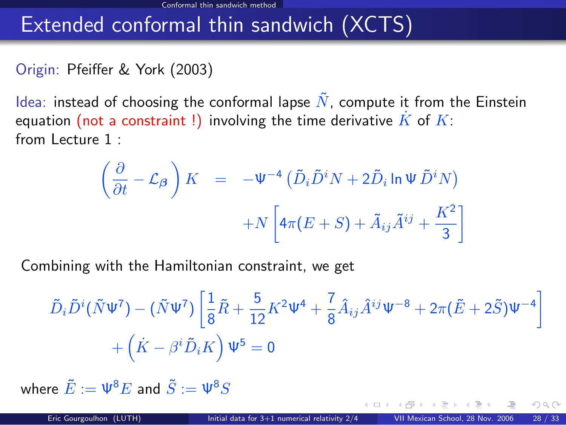## Extended conformal thin sandwich (XCTS)

#### Origin: Pfeiffer & York (2003)

Idea: instead of choosing the conformal lapse  $\tilde{N}$ , compute it from the Einstein equation (not a constraint !) involving the time derivative  $\overline{K}$  of  $\overline{K}$ : from Lecture 1 :

$$
\left(\frac{\partial}{\partial t} - \mathcal{L}_{\beta}\right) K = -\Psi^{-4} \left(\tilde{D}_{i} \tilde{D}^{i} N + 2 \tilde{D}_{i} \ln \Psi \tilde{D}^{i} N\right) + N \left[4\pi (E + S) + \tilde{A}_{ij} \tilde{A}^{ij} + \frac{K^{2}}{3}\right]
$$

Combining with the Hamiltonian constraint, we get

$$
\tilde{D}_i \tilde{D}^i (\tilde{N} \Psi^7) - (\tilde{N} \Psi^7) \left[ \frac{1}{8} \tilde{R} + \frac{5}{12} K^2 \Psi^4 + \frac{7}{8} \hat{A}_{ij} \hat{A}^{ij} \Psi^{-8} + 2\pi (\tilde{E} + 2\tilde{S}) \Psi^{-4} \right] + (\dot{K} - \beta^i \tilde{D}_i K) \Psi^5 = 0
$$

where  $\tilde{E} := \Psi^8 E$  and  $\tilde{S} := \Psi^8 S$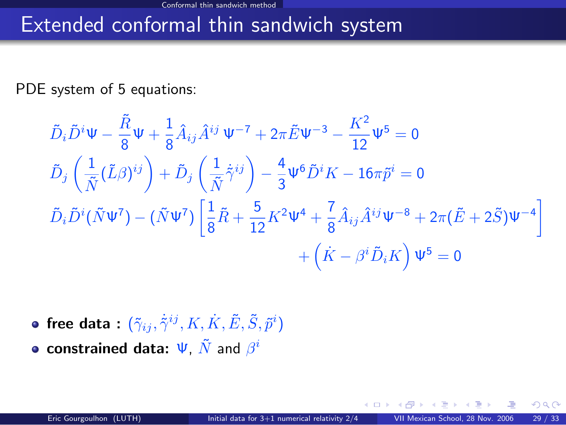### Extended conformal thin sandwich system

PDE system of 5 equations:

$$
\tilde{D}_{i}\tilde{D}^{i}\Psi - \frac{\tilde{R}}{8}\Psi + \frac{1}{8}\hat{A}_{ij}\hat{A}^{ij}\Psi^{-7} + 2\pi \tilde{E}\Psi^{-3} - \frac{K^{2}}{12}\Psi^{5} = 0
$$
\n
$$
\tilde{D}_{j}\left(\frac{1}{\tilde{N}}(\tilde{L}\beta)^{ij}\right) + \tilde{D}_{j}\left(\frac{1}{\tilde{N}}\dot{\tilde{\gamma}}^{ij}\right) - \frac{4}{3}\Psi^{6}\tilde{D}^{i}K - 16\pi\tilde{p}^{i} = 0
$$
\n
$$
\tilde{D}_{i}\tilde{D}^{i}(\tilde{N}\Psi^{7}) - (\tilde{N}\Psi^{7})\left[\frac{1}{8}\tilde{R} + \frac{5}{12}K^{2}\Psi^{4} + \frac{7}{8}\hat{A}_{ij}\hat{A}^{ij}\Psi^{-8} + 2\pi(\tilde{E} + 2\tilde{S})\Psi^{-4}\right] + \left(\dot{K} - \beta^{i}\tilde{D}_{i}K\right)\Psi^{5} = 0
$$

free data :  $(\tilde{\gamma}_{ij}, \dot{\tilde{\gamma}}^{ij}, K, \dot{K}, \tilde{E}, \tilde{S}, \tilde{p}^i)$ constrained data:  $\Psi$ ,  $\tilde{N}$  and  $\beta^i$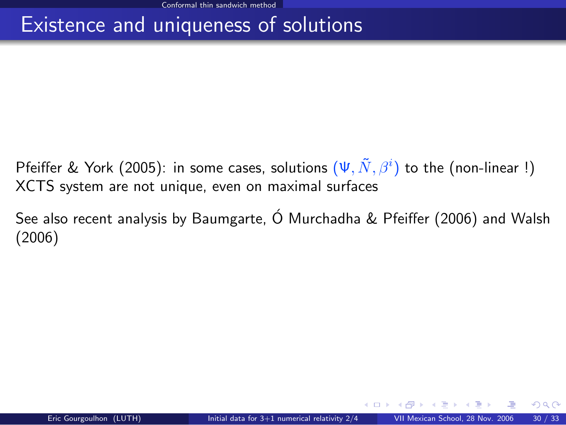## Existence and uniqueness of solutions

- Pfeiffer & York (2005): in some cases, solutions  $(\Psi, \tilde{N}, \beta^i)$  to the (non-linear !) XCTS system are not unique, even on maximal surfaces
- See also recent analysis by Baumgarte, Ó Murchadha & Pfeiffer (2006) and Walsh (2006)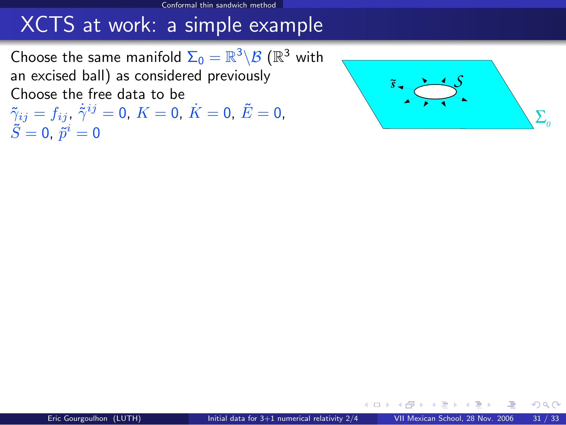Choose the same manifold  $\Sigma_0 = \mathbb{R}^3 \backslash \mathcal{B}$   $(\mathbb{R}^3$  with an excised ball) as considered previously Choose the free data to be

 $\tilde{\gamma}_{ij}=f_{ij}$ ,  $\dot{\tilde{\gamma}}^{ij}=0$ ,  $K=0$ ,  $\dot{K}=0$ ,  $\tilde{E}=0$ ,  $\tilde{S}=0,~\tilde{p}^i=0$ 

<span id="page-48-2"></span><span id="page-48-1"></span><span id="page-48-0"></span>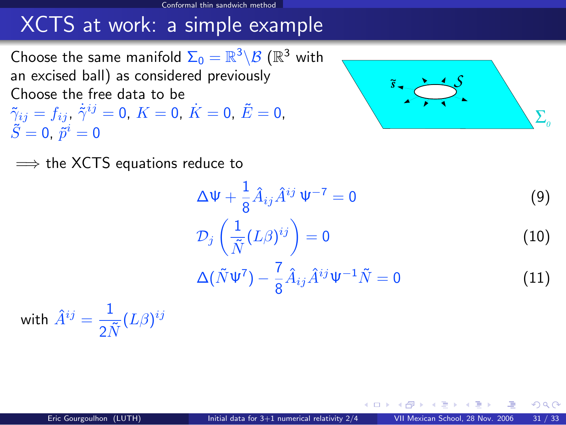Choose the same manifold  $\Sigma_0 = \mathbb{R}^3 \backslash \mathcal{B}$   $(\mathbb{R}^3$  with an excised ball) as considered previously Choose the free data to be  $\tilde{\gamma}_{ij}=f_{ij}$ ,  $\dot{\tilde{\gamma}}^{ij}=0$ ,  $K=0$ ,  $\dot{K}=0$ ,  $\tilde{E}=0$ ,  $\tilde{S}=0,~\tilde{p}^i=0$ 



 $\Omega$ 

 $\implies$  the XCTS equations reduce to

$$
\Delta \Psi + \frac{1}{8} \hat{A}_{ij} \hat{A}^{ij} \Psi^{-7} = 0 \tag{9}
$$

$$
\mathcal{D}_j\left(\frac{1}{\tilde{N}}(L\beta)^{ij}\right) = 0\tag{10}
$$

$$
\Delta(\tilde{N}\Psi^7) - \frac{7}{8}\hat{A}_{ij}\hat{A}^{ij}\Psi^{-1}\tilde{N} = 0
$$
\n(11)

with  $\hat{A}^{ij} = \frac{1}{\sqrt{3}}$  $\frac{1}{2\tilde{N}}(L\beta)^{ij}$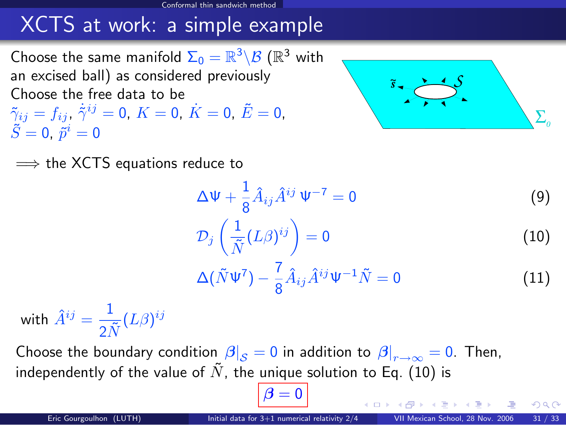Choose the same manifold  $\Sigma_0 = \mathbb{R}^3 \backslash \mathcal{B}$   $(\mathbb{R}^3$  with an excised ball) as considered previously Choose the free data to be  $\tilde{\gamma}_{ij}=f_{ij}$ ,  $\dot{\tilde{\gamma}}^{ij}=0$ ,  $K=0$ ,  $\dot{K}=0$ ,  $\tilde{E}=0$ ,  $\tilde{S}=0,~\tilde{p}^i=0$ 



 $\implies$  the XCTS equations reduce to

$$
\Delta \Psi + \frac{1}{8} \hat{A}_{ij} \hat{A}^{ij} \Psi^{-7} = 0 \tag{9}
$$

$$
\mathcal{D}_j\left(\frac{1}{\tilde{N}}(L\beta)^{ij}\right) = 0\tag{10}
$$

$$
\Delta(\tilde{N}\Psi^7) - \frac{7}{8}\hat{A}_{ij}\hat{A}^{ij}\Psi^{-1}\tilde{N} = 0
$$
\n(11)

with  $\hat{A}^{ij} = \frac{1}{\sqrt{3}}$  $\frac{1}{2\tilde{N}}(L\beta)^{ij}$ 

Choose the boundary condition  $\left. \beta\right\vert _{\mathcal{S}}=0$  in addition to  $\left. \beta\right\vert _{r\rightarrow\infty}=0.$  Then, independently of the value of  $\tilde{N}$ , the unique solution to Eq. [\(10\)](#page-48-0) is

 $\beta = 0$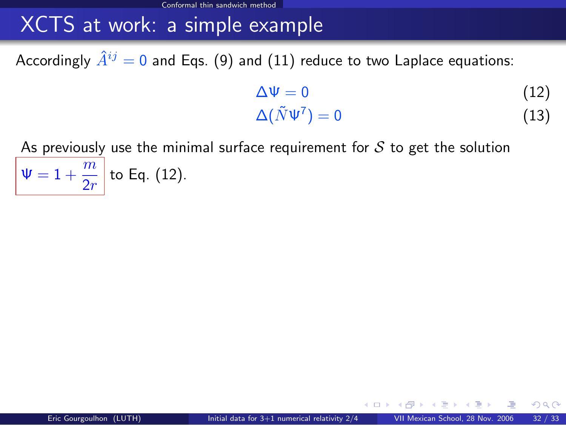Accordingly  $\hat{A}^{ij} = 0$  and Eqs. [\(9\)](#page-48-1) and [\(11\)](#page-48-2) reduce to two Laplace equations:

<span id="page-51-1"></span><span id="page-51-0"></span>
$$
\Delta \Psi = 0 \tag{12}
$$
\n
$$
\Delta (\tilde{N}\Psi^7) = 0 \tag{13}
$$

As previously use the minimal surface requirement for  $S$  to get the solution  $\Psi = 1 + \frac{m}{2r}$  to Eq. [\(12\)](#page-51-0).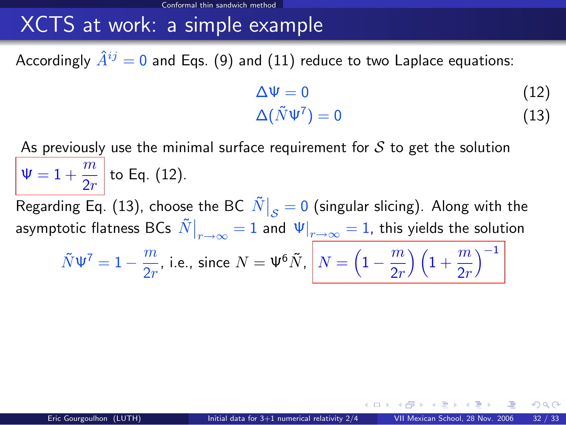Accordingly  $\hat{A}^{ij} = 0$  and Eqs. [\(9\)](#page-48-1) and [\(11\)](#page-48-2) reduce to two Laplace equations:

$$
\Delta \Psi = 0 \tag{12}
$$
\n
$$
\Delta(\tilde{N}\Psi^7) = 0 \tag{13}
$$

As previously use the minimal surface requirement for  $S$  to get the solution  $\Psi = 1 + \frac{m}{2r}$  to Eq. [\(12\)](#page-51-0). Regarding Eq. [\(13\)](#page-51-1), choose the BC  $\left.\tilde{N}\right|_{\cal S}=0$  (singular slicing). Along with the asymptotic flatness BCs  $\left.\tilde{N}\right|_{r\rightarrow\infty}=1$  and  $\left.\Psi\right|_{r\rightarrow\infty}=1,$  this yields the solution  $\tilde{N}\Psi^7=1-\frac{m}{2}$  $\frac{m}{2r}$ , i.e., since  $N=\Psi^6\tilde{N},\ \left\vert N=\left(1-\frac{m}{2r}\right.\right\vert$  $\left(\frac{m}{2r}\right)\left(1+\frac{m}{2r}\right)$  $\setminus^{-1}$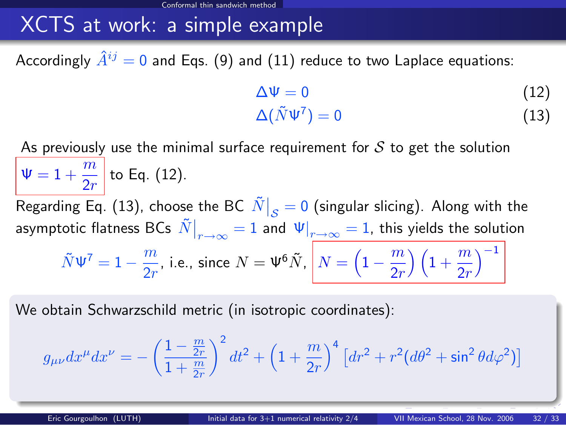Accordingly  $\hat{A}^{ij} = 0$  and Eqs. [\(9\)](#page-48-1) and [\(11\)](#page-48-2) reduce to two Laplace equations:

<span id="page-53-0"></span>
$$
\Delta \Psi = 0 \tag{12}
$$
\n
$$
\Delta(\tilde{N}\Psi^7) = 0 \tag{13}
$$

As previously use the minimal surface requirement for  $\mathcal S$  to get the solution  $\Psi = 1 + \frac{m}{2r}$  to Eq. [\(12\)](#page-51-0). Regarding Eq. [\(13\)](#page-51-1), choose the BC  $\left.\tilde{N}\right|_{\cal S}=0$  (singular slicing). Along with the asymptotic flatness BCs  $\left.\tilde{N}\right|_{r\rightarrow\infty}=1$  and  $\left.\Psi\right|_{r\rightarrow\infty}=1,$  this yields the solution  $\tilde{N}\Psi^7=1-\frac{m}{2}$  $\frac{m}{2r}$ , i.e., since  $N=\Psi^6\tilde{N},\ \left\vert N=\left(1-\frac{m}{2r}\right.\right\vert$  $\left(\frac{m}{2r}\right)\left(1+\frac{m}{2r}\right)$  $\setminus^{-1}$ 

We obtain Schwarzschild metric (in isotropic coordinates):

$$
g_{\mu\nu}dx^{\mu}dx^{\nu} = -\left(\frac{1-\frac{m}{2r}}{1+\frac{m}{2r}}\right)^2 dt^2 + \left(1+\frac{m}{2r}\right)^4 \left[dr^2 + r^2(d\theta^2 + \sin^2\theta d\varphi^2)\right]
$$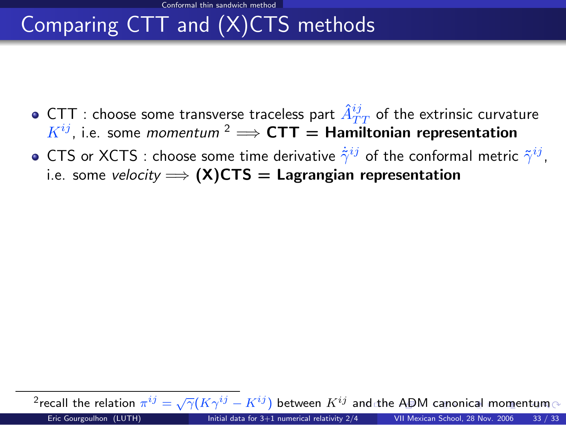Conformal thin sandwich method

# Comparing CTT and (X)CTS methods

- CTT : choose some transverse traceless part  $\hat{A}_{TT}^{ij}$  of the extrinsic curvature  $K^{ij}$ , i.e. some *momentum* <sup>2</sup>  $\implies$  **CTT** = **Hamiltonian representation**
- CTS or XCTS : choose some time derivative  $\dot{\tilde{\gamma}}^{ij}$  of the conformal metric  $\tilde{\gamma}^{ij}$ , i.e. some velocity  $\Longrightarrow$  (X)CTS = Lagrangian representation

<span id="page-54-0"></span> $\overline{P}$  $\overline{P}$  $\overline{P}$ recall t[he](#page-55-0)rel[a](#page-42-0)tion  $\pi^{ij}=\sqrt{\gamma}(K\gamma^{ij}-K^{ij})$  between  $K^{ij}$  a[nd](#page-53-0) the [A](#page-54-0)[DM](#page-55-0) [c](#page-41-0)a[no](#page-55-0)[ni](#page-41-0)[ca](#page-42-0)[l m](#page-55-0)o[ment](#page-55-0)um Eric Gourgoulhon (LUTH) [Initial data for 3+1 numerical relativity 2/4](#page-0-0) VII Mexican School, 28 Nov. 2006 33 / 33